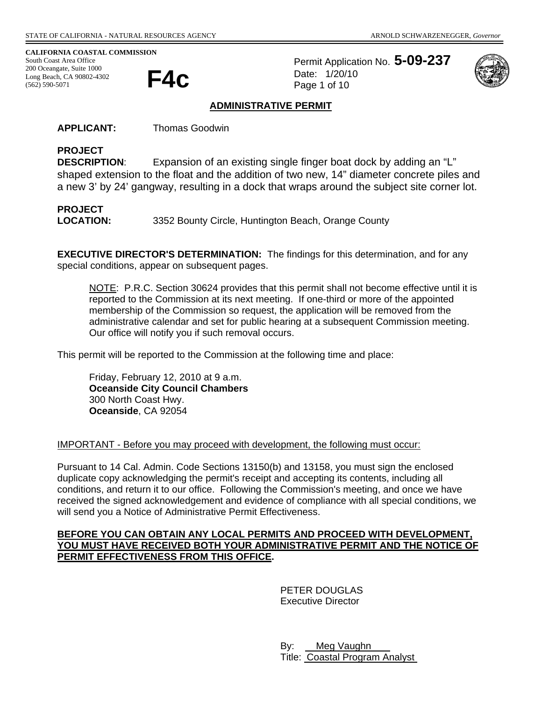**CALIFORNIA COASTAL COMMISSION** 

South Coast Area Office 200 Oceangate, Suite 1000<br>Long Beach, CA 90802-4302<br>(562) 500 5071 Long Beach, CA 90802-4302 (562) 590-5071

Permit Application No. **5-09-237** Date: 1/20/10 Page 1 of 10



### **ADMINISTRATIVE PERMIT**

**APPLICANT:** Thomas Goodwin

# **PROJECT**

**DESCRIPTION**: Expansion of an existing single finger boat dock by adding an "L" shaped extension to the float and the addition of two new, 14" diameter concrete piles and a new 3' by 24' gangway, resulting in a dock that wraps around the subject site corner lot.

# **PROJECT**

**LOCATION:** 3352 Bounty Circle, Huntington Beach, Orange County

**EXECUTIVE DIRECTOR'S DETERMINATION:** The findings for this determination, and for any special conditions, appear on subsequent pages.

NOTE: P.R.C. Section 30624 provides that this permit shall not become effective until it is reported to the Commission at its next meeting. If one-third or more of the appointed membership of the Commission so request, the application will be removed from the administrative calendar and set for public hearing at a subsequent Commission meeting. Our office will notify you if such removal occurs.

This permit will be reported to the Commission at the following time and place:

Friday, February 12, 2010 at 9 a.m. **Oceanside City Council Chambers**  300 North Coast Hwy. **Oceanside**, CA 92054

#### IMPORTANT - Before you may proceed with development, the following must occur:

Pursuant to 14 Cal. Admin. Code Sections 13150(b) and 13158, you must sign the enclosed duplicate copy acknowledging the permit's receipt and accepting its contents, including all conditions, and return it to our office. Following the Commission's meeting, and once we have received the signed acknowledgement and evidence of compliance with all special conditions, we will send you a Notice of Administrative Permit Effectiveness.

### **BEFORE YOU CAN OBTAIN ANY LOCAL PERMITS AND PROCEED WITH DEVELOPMENT, YOU MUST HAVE RECEIVED BOTH YOUR ADMINISTRATIVE PERMIT AND THE NOTICE OF PERMIT EFFECTIVENESS FROM THIS OFFICE.**

 PETER DOUGLAS Executive Director

 By: Meg Vaughn Title: Coastal Program Analyst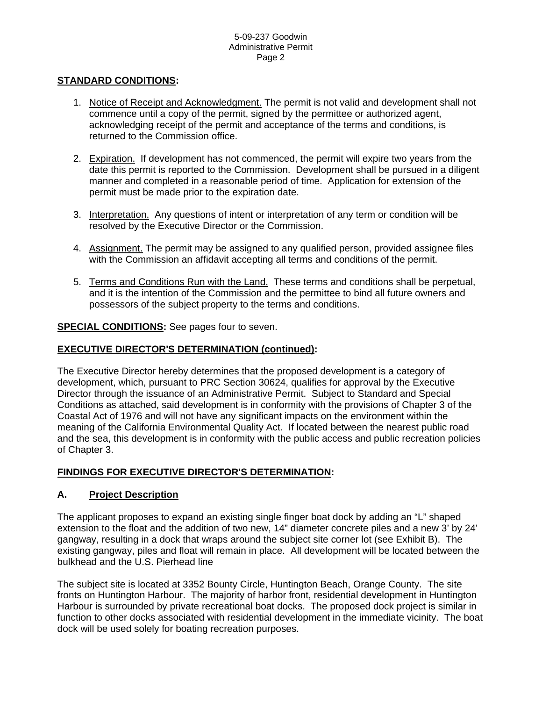## **STANDARD CONDITIONS:**

- 1. Notice of Receipt and Acknowledgment. The permit is not valid and development shall not commence until a copy of the permit, signed by the permittee or authorized agent, acknowledging receipt of the permit and acceptance of the terms and conditions, is returned to the Commission office.
- 2. Expiration. If development has not commenced, the permit will expire two years from the date this permit is reported to the Commission. Development shall be pursued in a diligent manner and completed in a reasonable period of time. Application for extension of the permit must be made prior to the expiration date.
- 3. Interpretation. Any questions of intent or interpretation of any term or condition will be resolved by the Executive Director or the Commission.
- 4. Assignment. The permit may be assigned to any qualified person, provided assignee files with the Commission an affidavit accepting all terms and conditions of the permit.
- 5. Terms and Conditions Run with the Land. These terms and conditions shall be perpetual, and it is the intention of the Commission and the permittee to bind all future owners and possessors of the subject property to the terms and conditions.

**SPECIAL CONDITIONS:** See pages four to seven.

#### **EXECUTIVE DIRECTOR'S DETERMINATION (continued):**

The Executive Director hereby determines that the proposed development is a category of development, which, pursuant to PRC Section 30624, qualifies for approval by the Executive Director through the issuance of an Administrative Permit. Subject to Standard and Special Conditions as attached, said development is in conformity with the provisions of Chapter 3 of the Coastal Act of 1976 and will not have any significant impacts on the environment within the meaning of the California Environmental Quality Act. If located between the nearest public road and the sea, this development is in conformity with the public access and public recreation policies of Chapter 3.

## **FINDINGS FOR EXECUTIVE DIRECTOR'S DETERMINATION:**

## **A. Project Description**

The applicant proposes to expand an existing single finger boat dock by adding an "L" shaped extension to the float and the addition of two new, 14" diameter concrete piles and a new 3' by 24' gangway, resulting in a dock that wraps around the subject site corner lot (see Exhibit B). The existing gangway, piles and float will remain in place. All development will be located between the bulkhead and the U.S. Pierhead line

The subject site is located at 3352 Bounty Circle, Huntington Beach, Orange County. The site fronts on Huntington Harbour. The majority of harbor front, residential development in Huntington Harbour is surrounded by private recreational boat docks. The proposed dock project is similar in function to other docks associated with residential development in the immediate vicinity. The boat dock will be used solely for boating recreation purposes.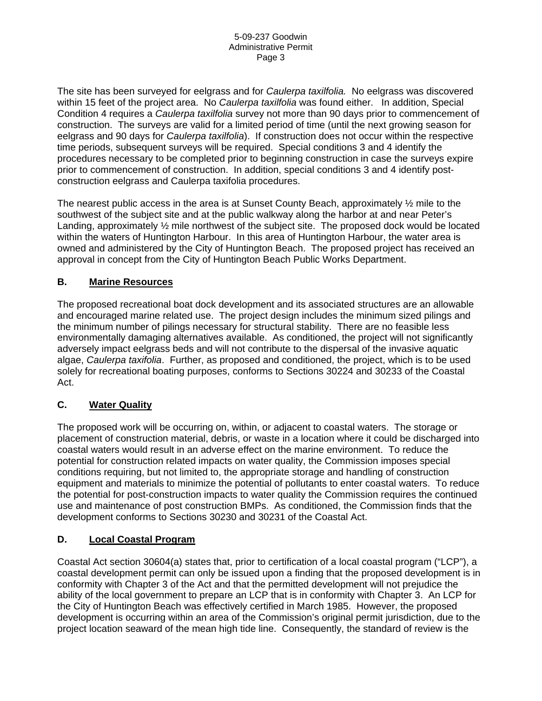The site has been surveyed for eelgrass and for *Caulerpa taxilfolia.* No eelgrass was discovered within 15 feet of the project area. No *Caulerpa taxilfolia* was found either. In addition, Special Condition 4 requires a *Caulerpa taxilfolia* survey not more than 90 days prior to commencement of construction. The surveys are valid for a limited period of time (until the next growing season for eelgrass and 90 days for *Caulerpa taxilfolia*). If construction does not occur within the respective time periods, subsequent surveys will be required. Special conditions 3 and 4 identify the procedures necessary to be completed prior to beginning construction in case the surveys expire prior to commencement of construction. In addition, special conditions 3 and 4 identify postconstruction eelgrass and Caulerpa taxifolia procedures.

The nearest public access in the area is at Sunset County Beach, approximately  $\frac{1}{2}$  mile to the southwest of the subject site and at the public walkway along the harbor at and near Peter's Landing, approximately ½ mile northwest of the subject site. The proposed dock would be located within the waters of Huntington Harbour. In this area of Huntington Harbour, the water area is owned and administered by the City of Huntington Beach. The proposed project has received an approval in concept from the City of Huntington Beach Public Works Department.

# **B. Marine Resources**

The proposed recreational boat dock development and its associated structures are an allowable and encouraged marine related use. The project design includes the minimum sized pilings and the minimum number of pilings necessary for structural stability. There are no feasible less environmentally damaging alternatives available. As conditioned, the project will not significantly adversely impact eelgrass beds and will not contribute to the dispersal of the invasive aquatic algae, *Caulerpa taxifolia*. Further, as proposed and conditioned, the project, which is to be used solely for recreational boating purposes, conforms to Sections 30224 and 30233 of the Coastal Act.

# **C. Water Quality**

The proposed work will be occurring on, within, or adjacent to coastal waters. The storage or placement of construction material, debris, or waste in a location where it could be discharged into coastal waters would result in an adverse effect on the marine environment. To reduce the potential for construction related impacts on water quality, the Commission imposes special conditions requiring, but not limited to, the appropriate storage and handling of construction equipment and materials to minimize the potential of pollutants to enter coastal waters. To reduce the potential for post-construction impacts to water quality the Commission requires the continued use and maintenance of post construction BMPs. As conditioned, the Commission finds that the development conforms to Sections 30230 and 30231 of the Coastal Act.

## **D. Local Coastal Program**

Coastal Act section 30604(a) states that, prior to certification of a local coastal program ("LCP"), a coastal development permit can only be issued upon a finding that the proposed development is in conformity with Chapter 3 of the Act and that the permitted development will not prejudice the ability of the local government to prepare an LCP that is in conformity with Chapter 3. An LCP for the City of Huntington Beach was effectively certified in March 1985. However, the proposed development is occurring within an area of the Commission's original permit jurisdiction, due to the project location seaward of the mean high tide line. Consequently, the standard of review is the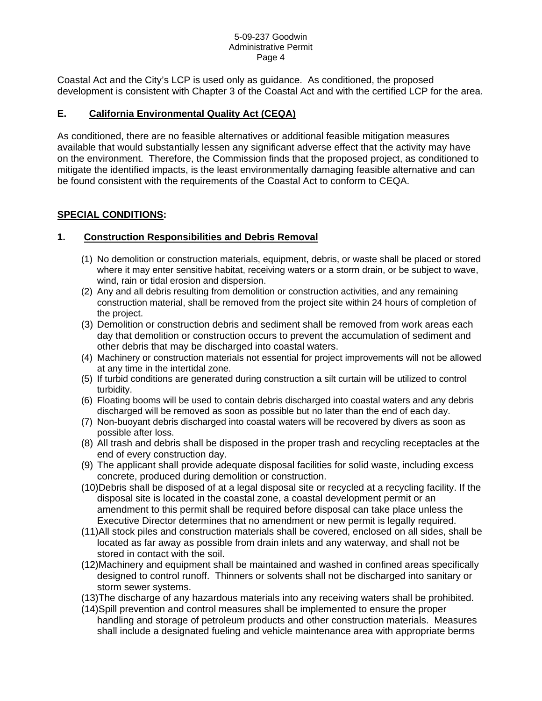Coastal Act and the City's LCP is used only as guidance. As conditioned, the proposed development is consistent with Chapter 3 of the Coastal Act and with the certified LCP for the area.

# **E. California Environmental Quality Act (CEQA)**

As conditioned, there are no feasible alternatives or additional feasible mitigation measures available that would substantially lessen any significant adverse effect that the activity may have on the environment. Therefore, the Commission finds that the proposed project, as conditioned to mitigate the identified impacts, is the least environmentally damaging feasible alternative and can be found consistent with the requirements of the Coastal Act to conform to CEQA.

# **SPECIAL CONDITIONS:**

# **1. Construction Responsibilities and Debris Removal**

- (1) No demolition or construction materials, equipment, debris, or waste shall be placed or stored where it may enter sensitive habitat, receiving waters or a storm drain, or be subject to wave, wind, rain or tidal erosion and dispersion.
- (2) Any and all debris resulting from demolition or construction activities, and any remaining construction material, shall be removed from the project site within 24 hours of completion of the project.
- (3) Demolition or construction debris and sediment shall be removed from work areas each day that demolition or construction occurs to prevent the accumulation of sediment and other debris that may be discharged into coastal waters.
- (4) Machinery or construction materials not essential for project improvements will not be allowed at any time in the intertidal zone.
- (5) If turbid conditions are generated during construction a silt curtain will be utilized to control turbidity.
- (6) Floating booms will be used to contain debris discharged into coastal waters and any debris discharged will be removed as soon as possible but no later than the end of each day.
- (7) Non-buoyant debris discharged into coastal waters will be recovered by divers as soon as possible after loss.
- (8) All trash and debris shall be disposed in the proper trash and recycling receptacles at the end of every construction day.
- (9) The applicant shall provide adequate disposal facilities for solid waste, including excess concrete, produced during demolition or construction.
- (10)Debris shall be disposed of at a legal disposal site or recycled at a recycling facility. If the disposal site is located in the coastal zone, a coastal development permit or an amendment to this permit shall be required before disposal can take place unless the Executive Director determines that no amendment or new permit is legally required.
- (11)All stock piles and construction materials shall be covered, enclosed on all sides, shall be located as far away as possible from drain inlets and any waterway, and shall not be stored in contact with the soil.
- (12)Machinery and equipment shall be maintained and washed in confined areas specifically designed to control runoff. Thinners or solvents shall not be discharged into sanitary or storm sewer systems.
- (13)The discharge of any hazardous materials into any receiving waters shall be prohibited.
- (14)Spill prevention and control measures shall be implemented to ensure the proper handling and storage of petroleum products and other construction materials. Measures shall include a designated fueling and vehicle maintenance area with appropriate berms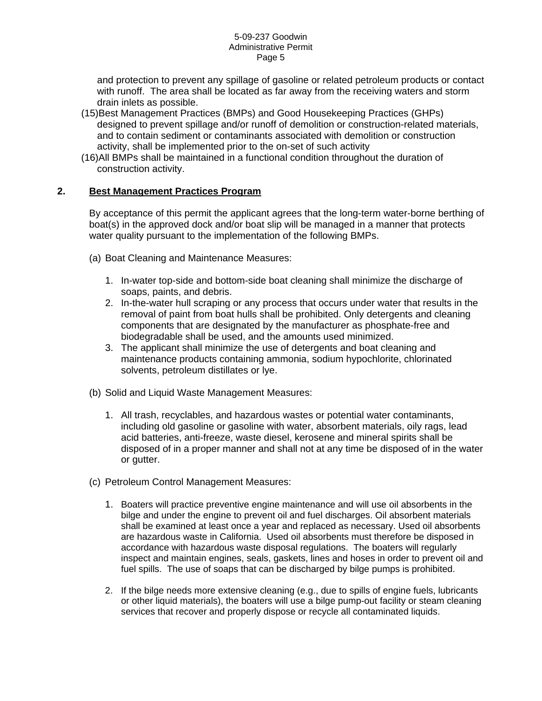and protection to prevent any spillage of gasoline or related petroleum products or contact with runoff. The area shall be located as far away from the receiving waters and storm drain inlets as possible.

- (15)Best Management Practices (BMPs) and Good Housekeeping Practices (GHPs) designed to prevent spillage and/or runoff of demolition or construction-related materials, and to contain sediment or contaminants associated with demolition or construction activity, shall be implemented prior to the on-set of such activity
- (16)All BMPs shall be maintained in a functional condition throughout the duration of construction activity.

# **2. Best Management Practices Program**

By acceptance of this permit the applicant agrees that the long-term water-borne berthing of boat(s) in the approved dock and/or boat slip will be managed in a manner that protects water quality pursuant to the implementation of the following BMPs.

- (a) Boat Cleaning and Maintenance Measures:
	- 1. In-water top-side and bottom-side boat cleaning shall minimize the discharge of soaps, paints, and debris.
	- 2. In-the-water hull scraping or any process that occurs under water that results in the removal of paint from boat hulls shall be prohibited. Only detergents and cleaning components that are designated by the manufacturer as phosphate-free and biodegradable shall be used, and the amounts used minimized.
	- 3. The applicant shall minimize the use of detergents and boat cleaning and maintenance products containing ammonia, sodium hypochlorite, chlorinated solvents, petroleum distillates or lye.
- (b) Solid and Liquid Waste Management Measures:
	- 1. All trash, recyclables, and hazardous wastes or potential water contaminants, including old gasoline or gasoline with water, absorbent materials, oily rags, lead acid batteries, anti-freeze, waste diesel, kerosene and mineral spirits shall be disposed of in a proper manner and shall not at any time be disposed of in the water or gutter.
- (c) Petroleum Control Management Measures:
	- 1. Boaters will practice preventive engine maintenance and will use oil absorbents in the bilge and under the engine to prevent oil and fuel discharges. Oil absorbent materials shall be examined at least once a year and replaced as necessary. Used oil absorbents are hazardous waste in California. Used oil absorbents must therefore be disposed in accordance with hazardous waste disposal regulations. The boaters will regularly inspect and maintain engines, seals, gaskets, lines and hoses in order to prevent oil and fuel spills. The use of soaps that can be discharged by bilge pumps is prohibited.
	- 2. If the bilge needs more extensive cleaning (e.g., due to spills of engine fuels, lubricants or other liquid materials), the boaters will use a bilge pump-out facility or steam cleaning services that recover and properly dispose or recycle all contaminated liquids.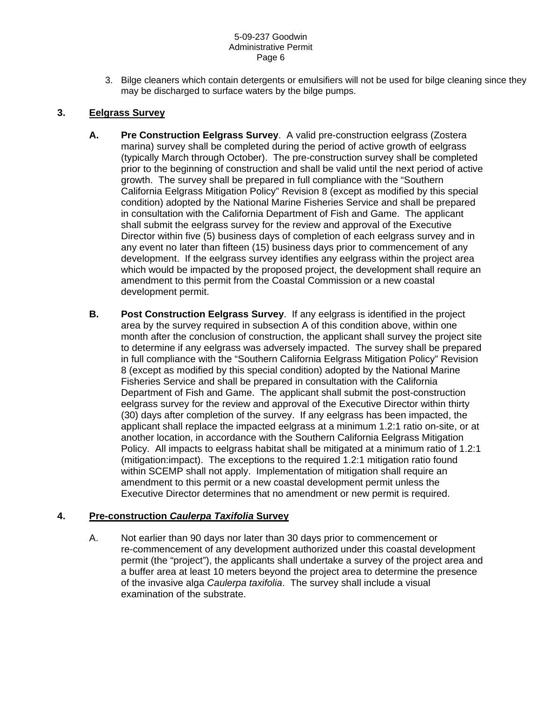3. Bilge cleaners which contain detergents or emulsifiers will not be used for bilge cleaning since they may be discharged to surface waters by the bilge pumps.

# **3. Eelgrass Survey**

- **A. Pre Construction Eelgrass Survey**. A valid pre-construction eelgrass (Zostera marina) survey shall be completed during the period of active growth of eelgrass (typically March through October). The pre-construction survey shall be completed prior to the beginning of construction and shall be valid until the next period of active growth. The survey shall be prepared in full compliance with the "Southern California Eelgrass Mitigation Policy" Revision 8 (except as modified by this special condition) adopted by the National Marine Fisheries Service and shall be prepared in consultation with the California Department of Fish and Game. The applicant shall submit the eelgrass survey for the review and approval of the Executive Director within five (5) business days of completion of each eelgrass survey and in any event no later than fifteen (15) business days prior to commencement of any development. If the eelgrass survey identifies any eelgrass within the project area which would be impacted by the proposed project, the development shall require an amendment to this permit from the Coastal Commission or a new coastal development permit.
- **B. Post Construction Eelgrass Survey**. If any eelgrass is identified in the project area by the survey required in subsection A of this condition above, within one month after the conclusion of construction, the applicant shall survey the project site to determine if any eelgrass was adversely impacted. The survey shall be prepared in full compliance with the "Southern California Eelgrass Mitigation Policy" Revision 8 (except as modified by this special condition) adopted by the National Marine Fisheries Service and shall be prepared in consultation with the California Department of Fish and Game. The applicant shall submit the post-construction eelgrass survey for the review and approval of the Executive Director within thirty (30) days after completion of the survey. If any eelgrass has been impacted, the applicant shall replace the impacted eelgrass at a minimum 1.2:1 ratio on-site, or at another location, in accordance with the Southern California Eelgrass Mitigation Policy. All impacts to eelgrass habitat shall be mitigated at a minimum ratio of 1.2:1 (mitigation:impact). The exceptions to the required 1.2:1 mitigation ratio found within SCEMP shall not apply. Implementation of mitigation shall require an amendment to this permit or a new coastal development permit unless the Executive Director determines that no amendment or new permit is required.

# **4. Pre-construction** *Caulerpa Taxifolia* **Survey**

A. Not earlier than 90 days nor later than 30 days prior to commencement or re-commencement of any development authorized under this coastal development permit (the "project"), the applicants shall undertake a survey of the project area and a buffer area at least 10 meters beyond the project area to determine the presence of the invasive alga *Caulerpa taxifolia*. The survey shall include a visual examination of the substrate.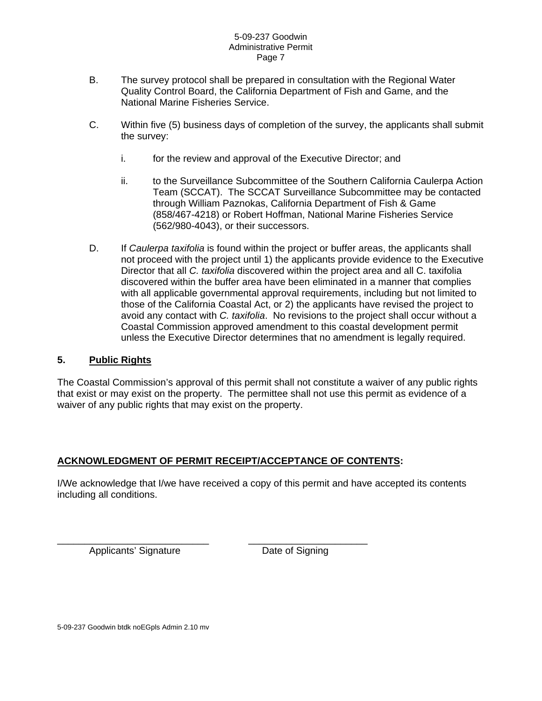- B. The survey protocol shall be prepared in consultation with the Regional Water Quality Control Board, the California Department of Fish and Game, and the National Marine Fisheries Service.
- C. Within five (5) business days of completion of the survey, the applicants shall submit the survey:
	- i. for the review and approval of the Executive Director; and
	- ii. to the Surveillance Subcommittee of the Southern California Caulerpa Action Team (SCCAT). The SCCAT Surveillance Subcommittee may be contacted through William Paznokas, California Department of Fish & Game (858/467-4218) or Robert Hoffman, National Marine Fisheries Service (562/980-4043), or their successors.
- D. If *Caulerpa taxifolia* is found within the project or buffer areas, the applicants shall not proceed with the project until 1) the applicants provide evidence to the Executive Director that all *C. taxifolia* discovered within the project area and all C. taxifolia discovered within the buffer area have been eliminated in a manner that complies with all applicable governmental approval requirements, including but not limited to those of the California Coastal Act, or 2) the applicants have revised the project to avoid any contact with *C. taxifolia*. No revisions to the project shall occur without a Coastal Commission approved amendment to this coastal development permit unless the Executive Director determines that no amendment is legally required.

### **5. Public Rights**

The Coastal Commission's approval of this permit shall not constitute a waiver of any public rights that exist or may exist on the property. The permittee shall not use this permit as evidence of a waiver of any public rights that may exist on the property.

## **ACKNOWLEDGMENT OF PERMIT RECEIPT/ACCEPTANCE OF CONTENTS:**

\_\_\_\_\_\_\_\_\_\_\_\_\_\_\_\_\_\_\_\_\_\_\_\_\_\_\_\_ \_\_\_\_\_\_\_\_\_\_\_\_\_\_\_\_\_\_\_\_\_\_

I/We acknowledge that I/we have received a copy of this permit and have accepted its contents including all conditions.

Applicants' Signature Date of Signing

5-09-237 Goodwin btdk noEGpls Admin 2.10 mv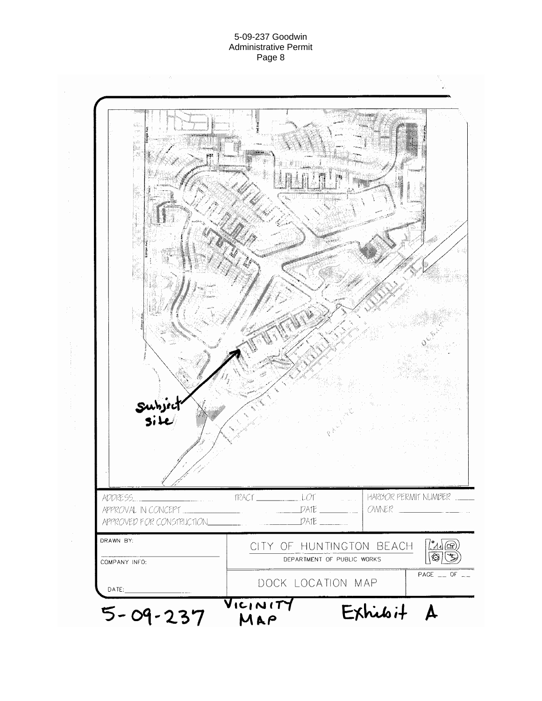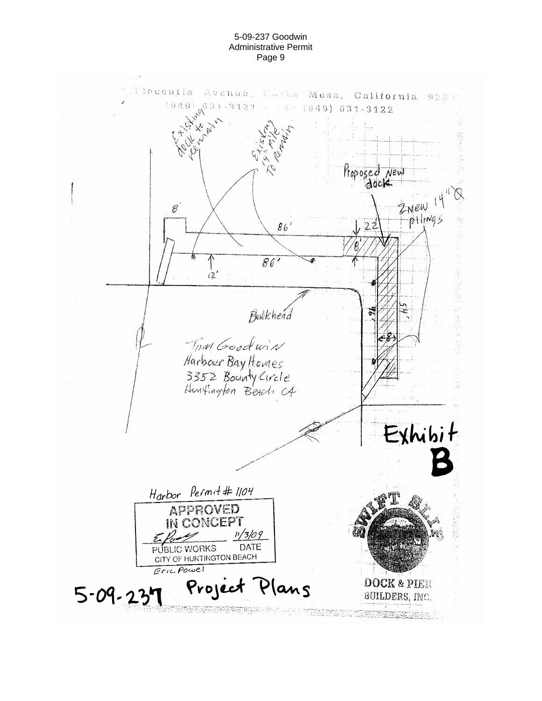